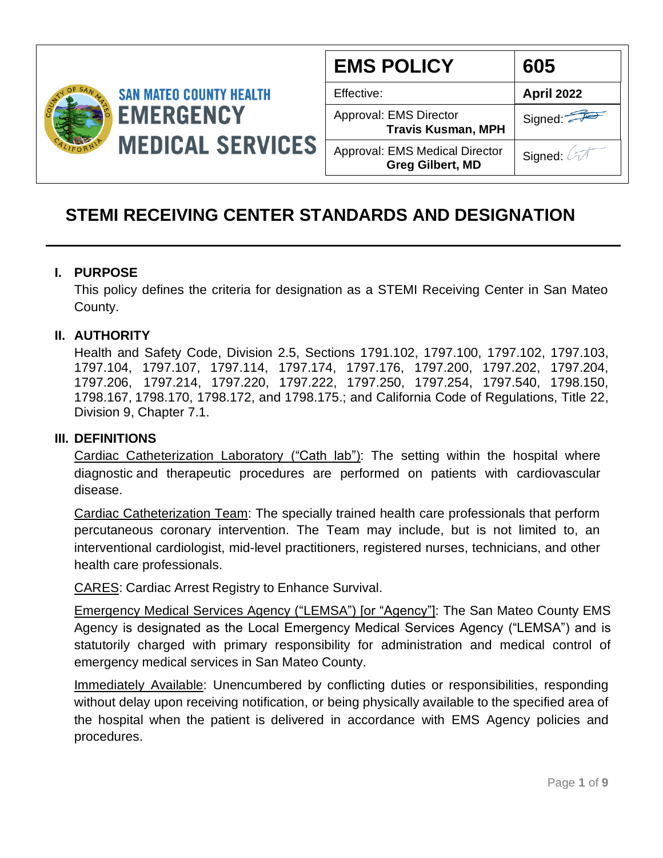

| <b>EMS POLICY</b>                                                | 605               |
|------------------------------------------------------------------|-------------------|
| Effective:                                                       | <b>April 2022</b> |
| Approval: EMS Director<br><b>Travis Kusman, MPH</b>              | Signed:           |
| <b>Approval: EMS Medical Director</b><br><b>Greg Gilbert, MD</b> | Signed: 4         |

# **STEMI RECEIVING CENTER STANDARDS AND DESIGNATION**

#### **I. PURPOSE**

This policy defines the criteria for designation as a STEMI Receiving Center in San Mateo County.

### **II. AUTHORITY**

Health and Safety Code, Division 2.5, Sections 1791.102, 1797.100, 1797.102, 1797.103, 1797.104, 1797.107, 1797.114, 1797.174, 1797.176, 1797.200, 1797.202, 1797.204, 1797.206, 1797.214, 1797.220, 1797.222, 1797.250, 1797.254, 1797.540, 1798.150, 1798.167, 1798.170, 1798.172, and 1798.175.; and California Code of Regulations, Title 22, Division 9, Chapter 7.1.

#### **III. DEFINITIONS**

Cardiac Catheterization Laboratory ("Cath lab"): The setting within the hospital where diagnostic and therapeutic procedures are performed on patients with cardiovascular disease.

Cardiac Catheterization Team: The specially trained health care professionals that perform percutaneous coronary intervention. The Team may include, but is not limited to, an interventional cardiologist, mid-level practitioners, registered nurses, technicians, and other health care professionals.

CARES: Cardiac Arrest Registry to Enhance Survival.

Emergency Medical Services Agency ("LEMSA") [or "Agency"]: The San Mateo County EMS Agency is designated as the Local Emergency Medical Services Agency ("LEMSA") and is statutorily charged with primary responsibility for administration and medical control of emergency medical services in San Mateo County.

Immediately Available: Unencumbered by conflicting duties or responsibilities, responding without delay upon receiving notification, or being physically available to the specified area of the hospital when the patient is delivered in accordance with EMS Agency policies and procedures.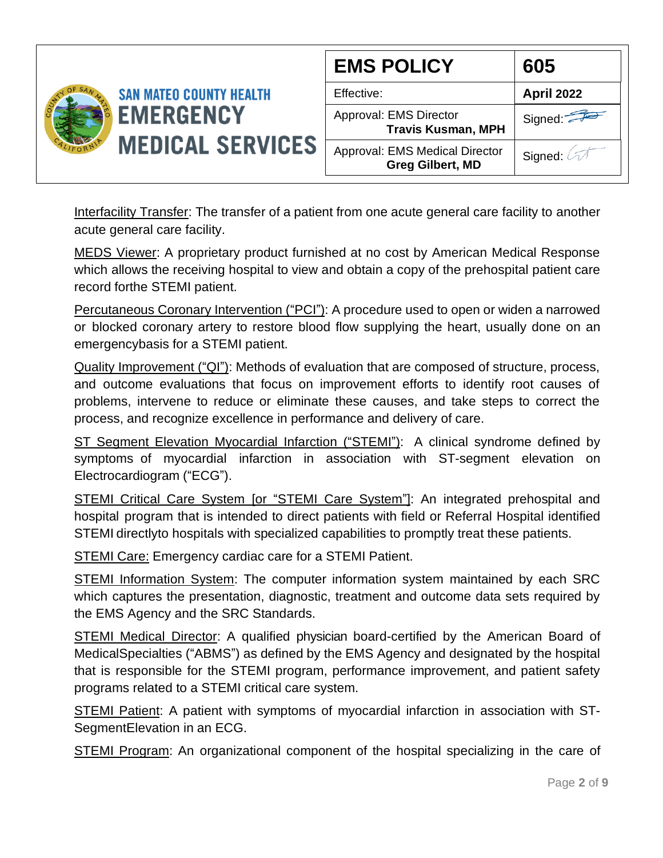

Interfacility Transfer: The transfer of a patient from one acute general care facility to another acute general care facility.

MEDS Viewer: A proprietary product furnished at no cost by American Medical Response which allows the receiving hospital to view and obtain a copy of the prehospital patient care record forthe STEMI patient.

Percutaneous Coronary Intervention ("PCI"): A procedure used to open or widen a narrowed or blocked coronary artery to restore blood flow supplying the heart, usually done on an emergencybasis for a STEMI patient.

Quality Improvement ("QI"): Methods of evaluation that are composed of structure, process, and outcome evaluations that focus on improvement efforts to identify root causes of problems, intervene to reduce or eliminate these causes, and take steps to correct the process, and recognize excellence in performance and delivery of care.

ST Segment Elevation Myocardial Infarction ("STEMI"): A clinical syndrome defined by symptoms of myocardial infarction in association with ST-segment elevation on Electrocardiogram ("ECG").

STEMI Critical Care System [or "STEMI Care System"]: An integrated prehospital and hospital program that is intended to direct patients with field or Referral Hospital identified STEMI directlyto hospitals with specialized capabilities to promptly treat these patients.

STEMI Care: Emergency cardiac care for a STEMI Patient.

STEMI Information System: The computer information system maintained by each SRC which captures the presentation, diagnostic, treatment and outcome data sets required by the EMS Agency and the SRC Standards.

STEMI Medical Director: A qualified physician board-certified by the American Board of MedicalSpecialties ("ABMS") as defined by the EMS Agency and designated by the hospital that is responsible for the STEMI program, performance improvement, and patient safety programs related to a STEMI critical care system.

STEMI Patient: A patient with symptoms of myocardial infarction in association with ST-SegmentElevation in an ECG.

STEMI Program: An organizational component of the hospital specializing in the care of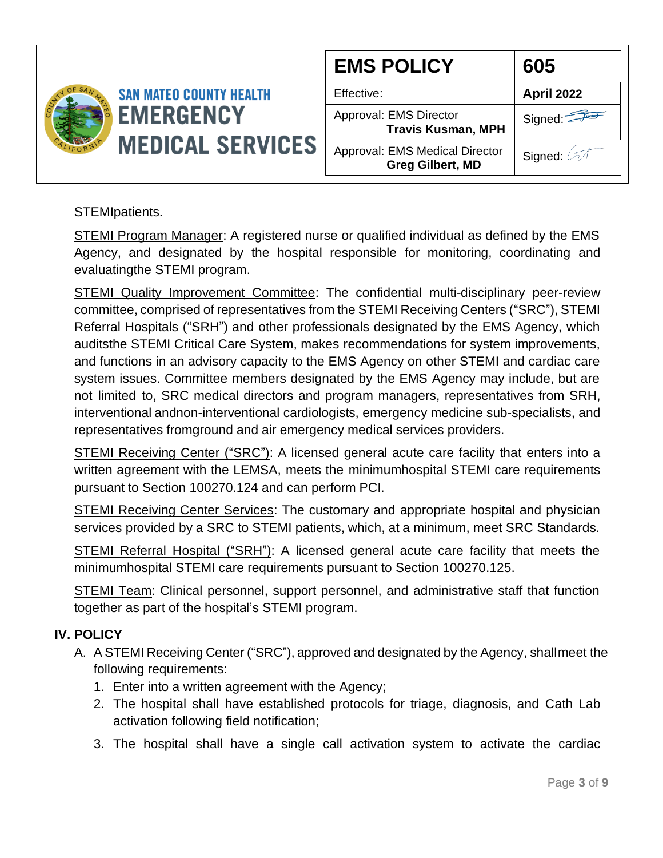

| <b>EMS POLICY</b>                                                | 605               |
|------------------------------------------------------------------|-------------------|
| Effective:                                                       | <b>April 2022</b> |
| Approval: EMS Director<br><b>Travis Kusman, MPH</b>              | Signed:           |
| <b>Approval: EMS Medical Director</b><br><b>Greg Gilbert, MD</b> | Signed: 2         |

STEMIpatients.

STEMI Program Manager: A registered nurse or qualified individual as defined by the EMS Agency, and designated by the hospital responsible for monitoring, coordinating and evaluatingthe STEMI program.

STEMI Quality Improvement Committee: The confidential multi-disciplinary peer-review committee, comprised of representatives from the STEMI Receiving Centers ("SRC"), STEMI Referral Hospitals ("SRH") and other professionals designated by the EMS Agency, which auditsthe STEMI Critical Care System, makes recommendations for system improvements, and functions in an advisory capacity to the EMS Agency on other STEMI and cardiac care system issues. Committee members designated by the EMS Agency may include, but are not limited to, SRC medical directors and program managers, representatives from SRH, interventional andnon-interventional cardiologists, emergency medicine sub-specialists, and representatives fromground and air emergency medical services providers.

STEMI Receiving Center ("SRC"): A licensed general acute care facility that enters into a written agreement with the LEMSA, meets the minimumhospital STEMI care requirements pursuant to Section 100270.124 and can perform PCI.

**STEMI Receiving Center Services:** The customary and appropriate hospital and physician services provided by a SRC to STEMI patients, which, at a minimum, meet SRC Standards.

STEMI Referral Hospital ("SRH"): A licensed general acute care facility that meets the minimumhospital STEMI care requirements pursuant to Section 100270.125.

STEMI Team: Clinical personnel, support personnel, and administrative staff that function together as part of the hospital's STEMI program.

## **IV. POLICY**

- A. A STEMI Receiving Center ("SRC"), approved and designated by the Agency, shall meet the following requirements:
	- 1. Enter into a written agreement with the Agency;
	- 2. The hospital shall have established protocols for triage, diagnosis, and Cath Lab activation following field notification;
	- 3. The hospital shall have a single call activation system to activate the cardiac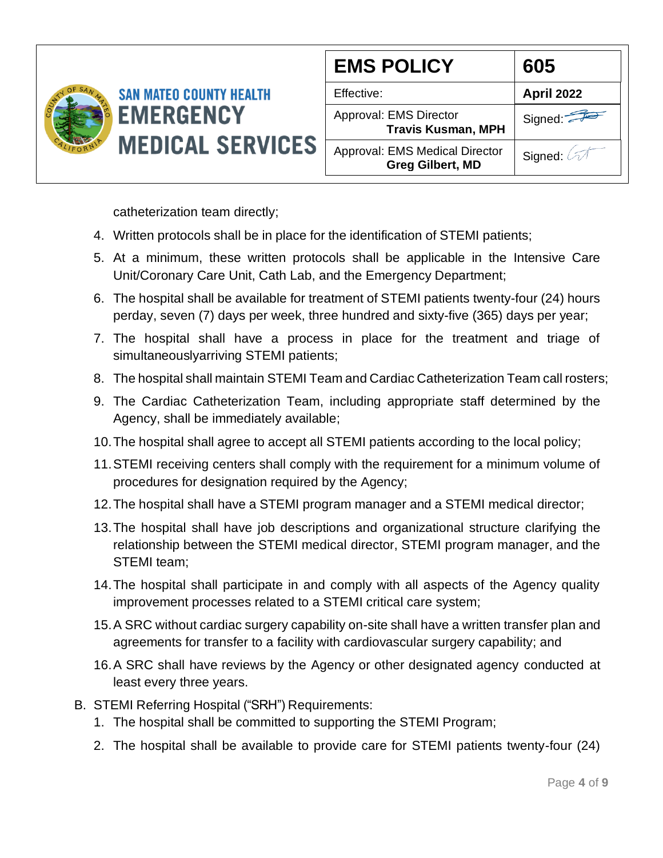

| <b>EMS POLICY</b>                                         | 605                |
|-----------------------------------------------------------|--------------------|
| Effective:                                                | <b>April 2022</b>  |
| Approval: EMS Director<br><b>Travis Kusman, MPH</b>       | Signed:            |
| Approval: EMS Medical Director<br><b>Greg Gilbert, MD</b> | Signed: $\sqrt{2}$ |

catheterization team directly;

- 4. Written protocols shall be in place for the identification of STEMI patients;
- 5. At a minimum, these written protocols shall be applicable in the Intensive Care Unit/Coronary Care Unit, Cath Lab, and the Emergency Department;
- 6. The hospital shall be available for treatment of STEMI patients twenty-four (24) hours perday, seven (7) days per week, three hundred and sixty-five (365) days per year;
- 7. The hospital shall have a process in place for the treatment and triage of simultaneouslyarriving STEMI patients;
- 8. The hospital shall maintain STEMI Team and Cardiac Catheterization Team call rosters;
- 9. The Cardiac Catheterization Team, including appropriate staff determined by the Agency, shall be immediately available;
- 10.The hospital shall agree to accept all STEMI patients according to the local policy;
- 11.STEMI receiving centers shall comply with the requirement for a minimum volume of procedures for designation required by the Agency;
- 12.The hospital shall have a STEMI program manager and a STEMI medical director;
- 13.The hospital shall have job descriptions and organizational structure clarifying the relationship between the STEMI medical director, STEMI program manager, and the STEMI team;
- 14.The hospital shall participate in and comply with all aspects of the Agency quality improvement processes related to a STEMI critical care system;
- 15.A SRC without cardiac surgery capability on-site shall have a written transfer plan and agreements for transfer to a facility with cardiovascular surgery capability; and
- 16.A SRC shall have reviews by the Agency or other designated agency conducted at least every three years.
- B. STEMI Referring Hospital ("SRH") Requirements:
	- 1. The hospital shall be committed to supporting the STEMI Program;
	- 2. The hospital shall be available to provide care for STEMI patients twenty-four (24)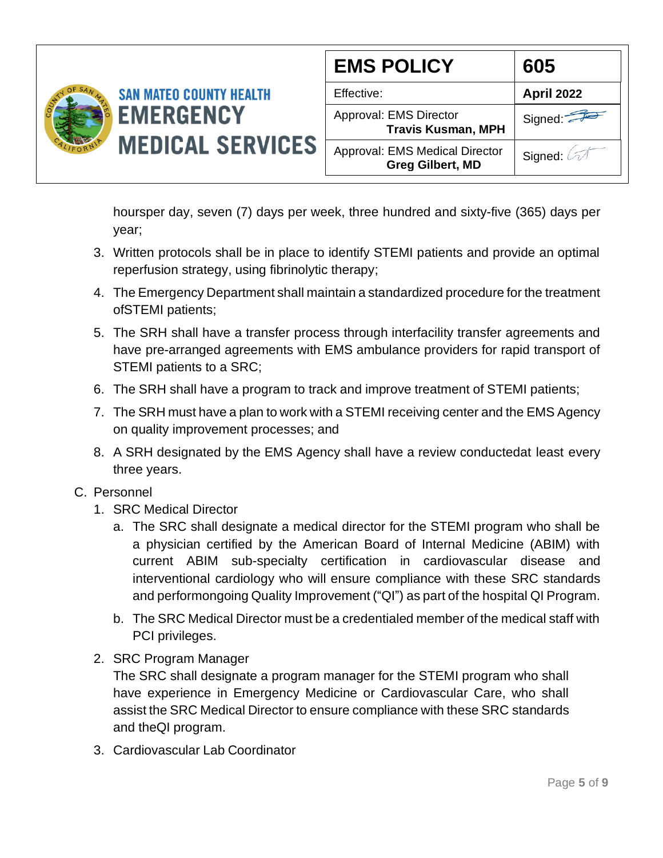

| <b>EMS POLICY</b>                                         | 605               |
|-----------------------------------------------------------|-------------------|
| Effective:                                                | <b>April 2022</b> |
| Approval: EMS Director<br><b>Travis Kusman, MPH</b>       | Signed:           |
| Approval: EMS Medical Director<br><b>Greg Gilbert, MD</b> | Signed: 2         |

hoursper day, seven (7) days per week, three hundred and sixty-five (365) days per year;

- 3. Written protocols shall be in place to identify STEMI patients and provide an optimal reperfusion strategy, using fibrinolytic therapy;
- 4. The Emergency Department shall maintain a standardized procedure for the treatment ofSTEMI patients;
- 5. The SRH shall have a transfer process through interfacility transfer agreements and have pre-arranged agreements with EMS ambulance providers for rapid transport of STEMI patients to a SRC;
- 6. The SRH shall have a program to track and improve treatment of STEMI patients;
- 7. The SRH must have a plan to work with a STEMI receiving center and the EMS Agency on quality improvement processes; and
- 8. A SRH designated by the EMS Agency shall have a review conductedat least every three years.
- C. Personnel
	- 1. SRC Medical Director
		- a. The SRC shall designate a medical director for the STEMI program who shall be a physician certified by the American Board of Internal Medicine (ABIM) with current ABIM sub-specialty certification in cardiovascular disease and interventional cardiology who will ensure compliance with these SRC standards and performongoing Quality Improvement ("QI") as part of the hospital QI Program.
		- b. The SRC Medical Director must be a credentialed member of the medical staff with PCI privileges.
	- 2. SRC Program Manager

The SRC shall designate a program manager for the STEMI program who shall have experience in Emergency Medicine or Cardiovascular Care, who shall assist the SRC Medical Director to ensure compliance with these SRC standards and theQI program.

3. Cardiovascular Lab Coordinator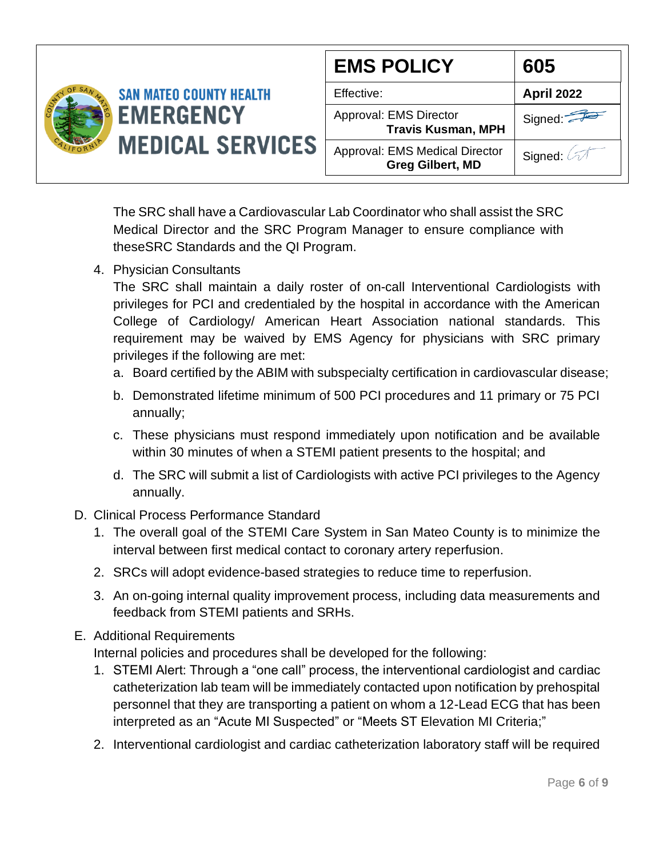

The SRC shall have a Cardiovascular Lab Coordinator who shall assist the SRC Medical Director and the SRC Program Manager to ensure compliance with theseSRC Standards and the QI Program.

4. Physician Consultants

The SRC shall maintain a daily roster of on-call Interventional Cardiologists with privileges for PCI and credentialed by the hospital in accordance with the American College of Cardiology/ American Heart Association national standards. This requirement may be waived by EMS Agency for physicians with SRC primary privileges if the following are met:

- a. Board certified by the ABIM with subspecialty certification in cardiovascular disease;
- b. Demonstrated lifetime minimum of 500 PCI procedures and 11 primary or 75 PCI annually;
- c. These physicians must respond immediately upon notification and be available within 30 minutes of when a STEMI patient presents to the hospital; and
- d. The SRC will submit a list of Cardiologists with active PCI privileges to the Agency annually.
- D. Clinical Process Performance Standard
	- 1. The overall goal of the STEMI Care System in San Mateo County is to minimize the interval between first medical contact to coronary artery reperfusion.
	- 2. SRCs will adopt evidence-based strategies to reduce time to reperfusion.
	- 3. An on-going internal quality improvement process, including data measurements and feedback from STEMI patients and SRHs.
- E. Additional Requirements

Internal policies and procedures shall be developed for the following:

- 1. STEMI Alert: Through a "one call" process, the interventional cardiologist and cardiac catheterization lab team will be immediately contacted upon notification by prehospital personnel that they are transporting a patient on whom a 12-Lead ECG that has been interpreted as an "Acute MI Suspected" or "Meets ST Elevation MI Criteria;"
- 2. Interventional cardiologist and cardiac catheterization laboratory staff will be required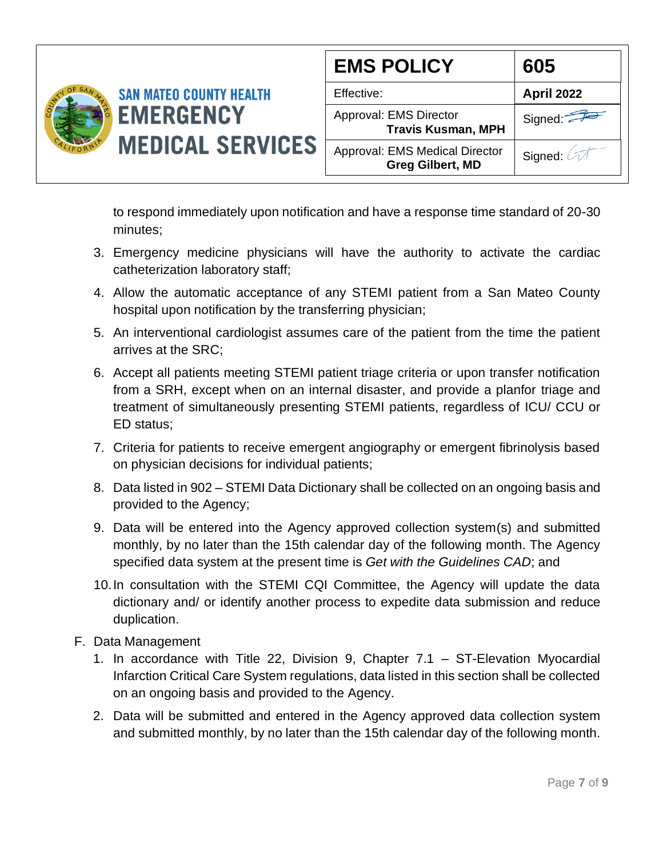

| <b>EMS POLICY</b>                                         | 605               |
|-----------------------------------------------------------|-------------------|
| Effective:                                                | <b>April 2022</b> |
| Approval: EMS Director<br><b>Travis Kusman, MPH</b>       | Signed:           |
| Approval: EMS Medical Director<br><b>Greg Gilbert, MD</b> | Signed: 2         |

to respond immediately upon notification and have a response time standard of 20-30 minutes;

- 3. Emergency medicine physicians will have the authority to activate the cardiac catheterization laboratory staff;
- 4. Allow the automatic acceptance of any STEMI patient from a San Mateo County hospital upon notification by the transferring physician;
- 5. An interventional cardiologist assumes care of the patient from the time the patient arrives at the SRC;
- 6. Accept all patients meeting STEMI patient triage criteria or upon transfer notification from a SRH, except when on an internal disaster, and provide a planfor triage and treatment of simultaneously presenting STEMI patients, regardless of ICU/ CCU or ED status;
- 7. Criteria for patients to receive emergent angiography or emergent fibrinolysis based on physician decisions for individual patients;
- 8. Data listed in 902 STEMI Data Dictionary shall be collected on an ongoing basis and provided to the Agency;
- 9. Data will be entered into the Agency approved collection system(s) and submitted monthly, by no later than the 15th calendar day of the following month. The Agency specified data system at the present time is *Get with the Guidelines CAD*; and
- 10.In consultation with the STEMI CQI Committee, the Agency will update the data dictionary and/ or identify another process to expedite data submission and reduce duplication.
- F. Data Management
	- 1. In accordance with Title 22, Division 9, Chapter 7.1 ST-Elevation Myocardial Infarction Critical Care System regulations, data listed in this section shall be collected on an ongoing basis and provided to the Agency.
	- 2. Data will be submitted and entered in the Agency approved data collection system and submitted monthly, by no later than the 15th calendar day of the following month.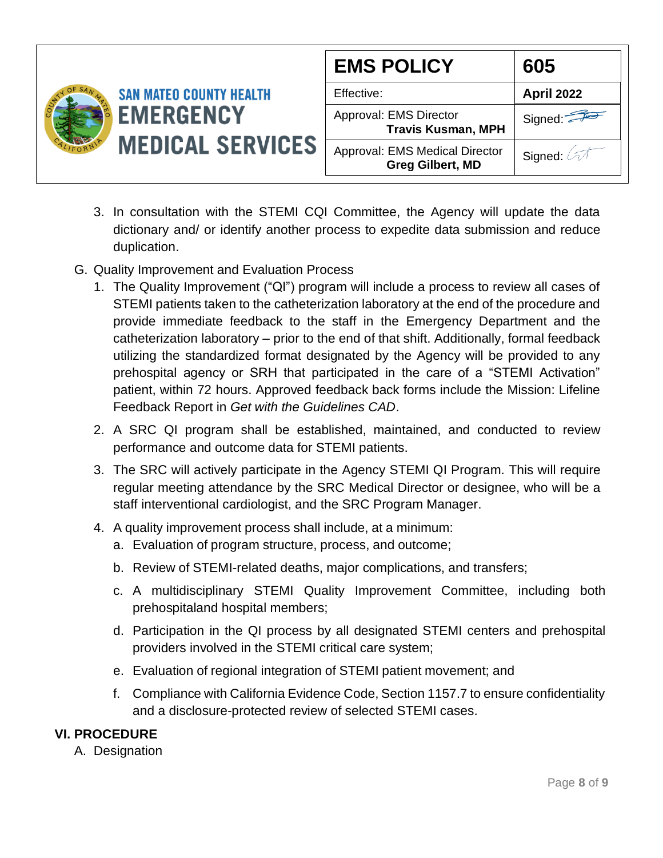

- 3. In consultation with the STEMI CQI Committee, the Agency will update the data dictionary and/ or identify another process to expedite data submission and reduce duplication.
- G. Quality Improvement and Evaluation Process
	- 1. The Quality Improvement ("QI") program will include a process to review all cases of STEMI patients taken to the catheterization laboratory at the end of the procedure and provide immediate feedback to the staff in the Emergency Department and the catheterization laboratory – prior to the end of that shift. Additionally, formal feedback utilizing the standardized format designated by the Agency will be provided to any prehospital agency or SRH that participated in the care of a "STEMI Activation" patient, within 72 hours. Approved feedback back forms include the Mission: Lifeline Feedback Report in *Get with the Guidelines CAD*.
	- 2. A SRC QI program shall be established, maintained, and conducted to review performance and outcome data for STEMI patients.
	- 3. The SRC will actively participate in the Agency STEMI QI Program. This will require regular meeting attendance by the SRC Medical Director or designee, who will be a staff interventional cardiologist, and the SRC Program Manager.
	- 4. A quality improvement process shall include, at a minimum:
		- a. Evaluation of program structure, process, and outcome;
		- b. Review of STEMI-related deaths, major complications, and transfers;
		- c. A multidisciplinary STEMI Quality Improvement Committee, including both prehospitaland hospital members;
		- d. Participation in the QI process by all designated STEMI centers and prehospital providers involved in the STEMI critical care system;
		- e. Evaluation of regional integration of STEMI patient movement; and
		- f. Compliance with California Evidence Code, Section 1157.7 to ensure confidentiality and a disclosure-protected review of selected STEMI cases.

## **VI. PROCEDURE**

A. Designation